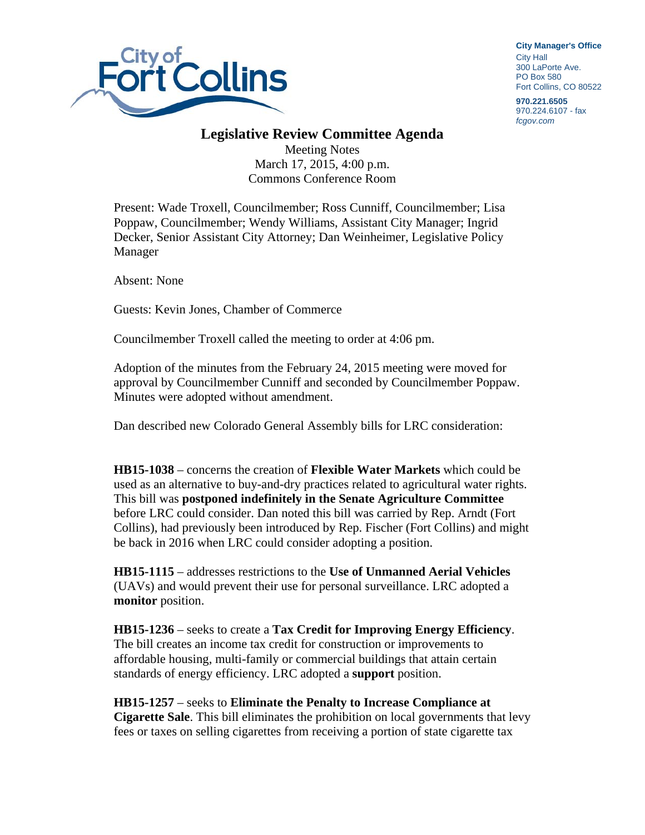

**City Manager**'**s Office** City Hall 300 LaPorte Ave. PO Box 580 Fort Collins, CO 80522

**970.221.6505**  970.224.6107 - fax *fcgov.com* 

## **Legislative Review Committee Agenda**

Meeting Notes March 17, 2015, 4:00 p.m. Commons Conference Room

Present: Wade Troxell, Councilmember; Ross Cunniff, Councilmember; Lisa Poppaw, Councilmember; Wendy Williams, Assistant City Manager; Ingrid Decker, Senior Assistant City Attorney; Dan Weinheimer, Legislative Policy Manager

Absent: None

Guests: Kevin Jones, Chamber of Commerce

Councilmember Troxell called the meeting to order at 4:06 pm.

Adoption of the minutes from the February 24, 2015 meeting were moved for approval by Councilmember Cunniff and seconded by Councilmember Poppaw. Minutes were adopted without amendment.

Dan described new Colorado General Assembly bills for LRC consideration:

**HB15-1038** – concerns the creation of **Flexible Water Markets** which could be used as an alternative to buy-and-dry practices related to agricultural water rights. This bill was **postponed indefinitely in the Senate Agriculture Committee**  before LRC could consider. Dan noted this bill was carried by Rep. Arndt (Fort Collins), had previously been introduced by Rep. Fischer (Fort Collins) and might be back in 2016 when LRC could consider adopting a position.

**HB15-1115** – addresses restrictions to the **Use of Unmanned Aerial Vehicles** (UAVs) and would prevent their use for personal surveillance. LRC adopted a **monitor** position.

**HB15-1236** – seeks to create a **Tax Credit for Improving Energy Efficiency**. The bill creates an income tax credit for construction or improvements to affordable housing, multi-family or commercial buildings that attain certain standards of energy efficiency. LRC adopted a **support** position.

**HB15-1257** – seeks to **Eliminate the Penalty to Increase Compliance at Cigarette Sale**. This bill eliminates the prohibition on local governments that levy fees or taxes on selling cigarettes from receiving a portion of state cigarette tax